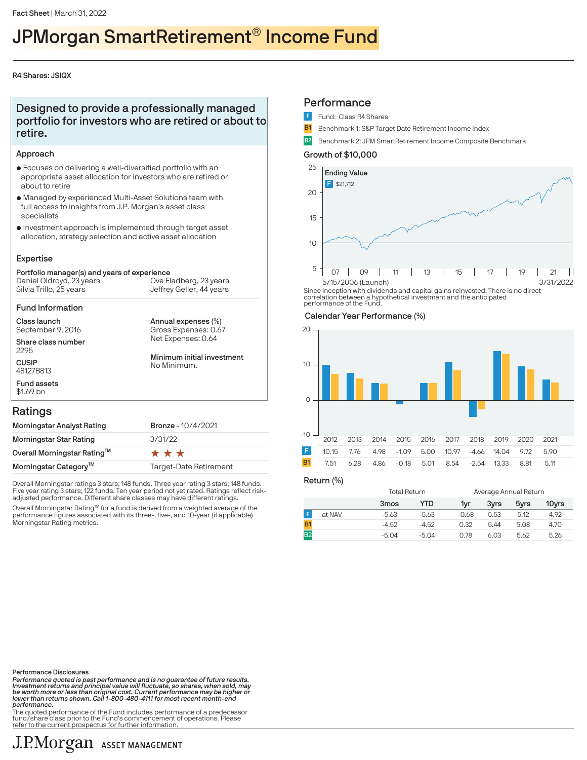# JPMorgan SmartRetirement® Income Fund

#### R4 Shares: JSIQX

#### Designed to provide a professionally managed portfolio for investors who are retired or about to retire.

#### Approach

- $\bullet$  Focuses on delivering a well-diversified portfolio with an appropriate asset allocation for investors who are retired or about to retire
- $\bullet$  Managed by experienced Multi-Asset Solutions team with full access to insights from J.P. Morgan's asset class specialists
- $\bullet$  Investment approach is implemented through target asset allocation, strategy selection and active asset allocation

#### Expertise

#### Portfolio manager(s) and years of experience Silvia Trillo, 25 years Daniel Oldroyd, 23 years Jeffrey Geller, 44 years Ove Fladberg, 23 years

Fund Information Class launch

September 9, 2016 Share class number

2295 **CUSIP** 

48127B813

Fund assets \$1.69 bn

Net Expenses: 0.64 Gross Expenses: 0.67 Minimum initial investment

No Minimum.

Annual expenses (%)

#### Ratings

| Morningstar Analyst Rating        | <b>Bronze - 10/4/2021</b> |
|-----------------------------------|---------------------------|
| Morningstar Star Rating           | 3/31/22                   |
| Overall Morningstar Rating™       | ***                       |
| Morningstar Category <sup>™</sup> | Target-Date Retirement    |

Overall Morningstar ratings 3 stars; 148 funds. Three year rating 3 stars; 148 funds. Five year rating 3 stars; 122 funds. Ten year period not yet rated. Ratings reflect riskadjusted performance. Different share classes may have different ratings.

Overall Morningstar Rating™ for a fund is derived from a weighted average of the<br>performance figures associated with its three-, five-, and 10-year (if applicable) Morningstar Rating metrics.

#### **Performance**

- Fund: Class R4 Shares
- **B1** Benchmark 1: S&P Target Date Retirement Income Index
- B2 Benchmark 2: JPM SmartRetirement Income Composite Benchmark

#### Growth of \$10,000



Since inception with dividends and capital gains reinvested. There is no direct correlation between a hypothetical investment and the anticipated performance of the Fund.

#### Calendar Year Performance (%)



Return (%)

|        | Total Return |         | Average Annual Return |      |      |       |
|--------|--------------|---------|-----------------------|------|------|-------|
|        | 3mos         | YTD     | 1vr                   | 3vrs | 5yrs | 10yrs |
| at NAV | $-5.63$      | $-5.63$ | $-0.68$               | 5.53 | 5.12 | 4.92  |
|        | $-4.52$      | $-4.52$ | 0.32                  | 5.44 | 5.08 | 4.70  |
|        | $-5.04$      | $-5.04$ | 0.78                  | 6.03 | 5.62 | 5.26  |

Performance Disclosures

Performance quoted is past performance and is no guarantee of future results.<br>Investment returns and principal value will fluctuate, so shares, when sold, may<br>be worth more or less than original cost. Current performance m performance.

.<br>The quoted performance of the Fund includes performance of a predecessor fund/share class prior to the Fund's commencement of operations. Please refer to the current prospectus for further information.

## J.P.Morgan ASSET MANAGEMENT